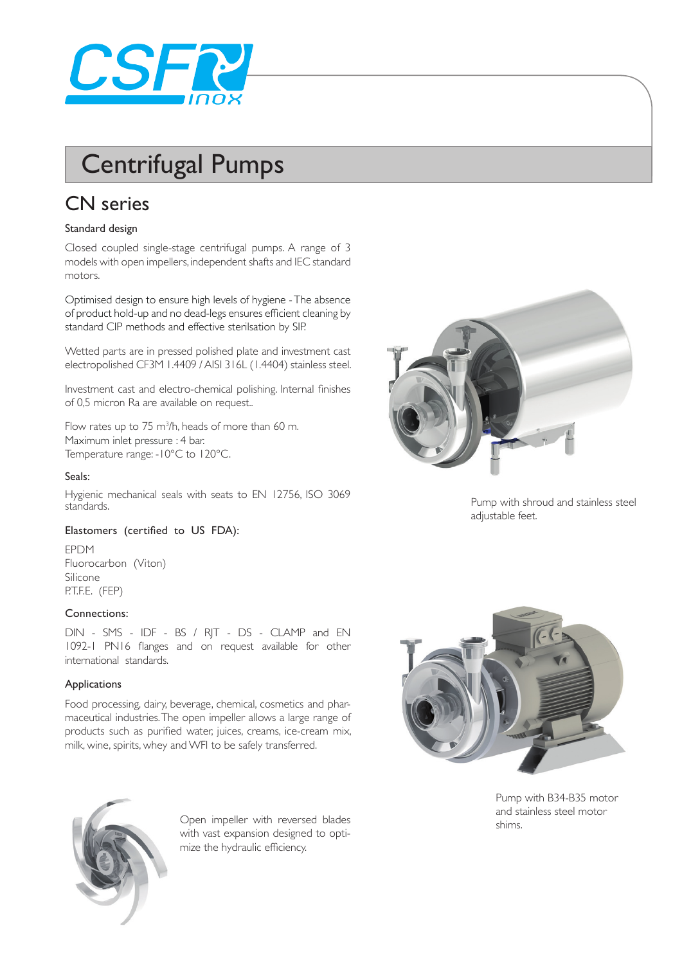

# Centrifugal Pumps

## CN series

#### Standard design

Closed coupled single-stage centrifugal pumps. A range of 3 models with open impellers, independent shafts and IEC standard motors.

Optimised design to ensure high levels of hygiene - The absence of product hold-up and no dead-legs ensures efficient cleaning by standard CIP methods and effective sterilsation by SIP.

Wetted parts are in pressed polished plate and investment cast electropolished CF3M 1.4409 / AISI 316L (1.4404) stainless steel.

Investment cast and electro-chemical polishing. Internal finishes of 0,5 micron Ra are available on request..

Flow rates up to  $75 \text{ m}^3$ /h, heads of more than 60 m. Maximum inlet pressure : 4 bar. Temperature range: -10°C to 120°C.

#### Seals:

Hygienic mechanical seals with seats to EN 12756, ISO 3069 standards.

#### Elastomers (certified to US FDA):

EPDM Fluorocarbon (Viton) Silicone P.T.F.E. (FEP)

#### Connections:

DIN - SMS - IDF - BS / RJT - DS - CLAMP and EN 1092-1 PN16 flanges and on request available for other international standards.

#### Applications

Food processing, dairy, beverage, chemical, cosmetics and pharmaceutical industries. The open impeller allows a large range of products such as purified water, juices, creams, ice-cream mix, milk, wine, spirits, whey and WFI to be safely transferred.



Pump with shroud and stainless steel adjustable feet.



Pump with B34-B35 motor and stainless steel motor shims.



Open impeller with reversed blades with vast expansion designed to optimize the hydraulic efficiency.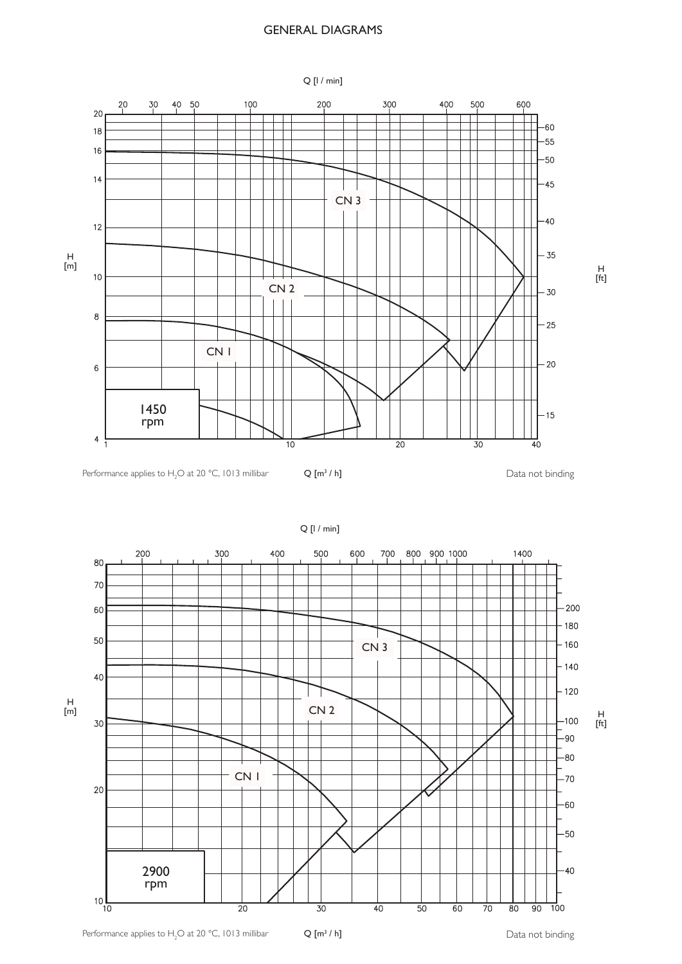#### GENERAL DIAGRAMS



 $\frac{H}{[ft]}$ 

Performance applies to H<sub>2</sub>O at 20 °C, 1013 millibar  $Q[m^3/h]$   $\qquad \qquad$   $\qquad \qquad$  Data not binding

 $Q[m^3/h]$ 



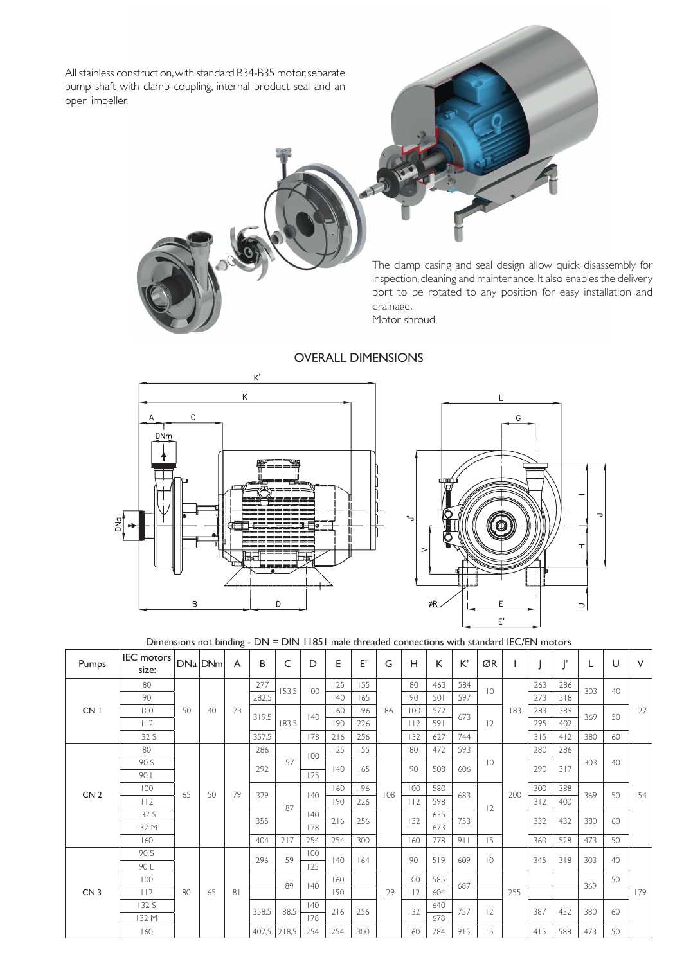All stainless construction, with standard B34-B35 motor, separate pump shaft with clamp coupling, internal product seal and an open impeller.

> The clamp casing and seal design allow quick disassembly for inspection, cleaning and maintenance. It also enables the delivery port to be rotated to any position for easy installation and drainage.

Motor shroud.



### OVERALL DIMENSIONS



Dimensions not binding - DN = DIN 11851 male threaded connections with standard IEC/EN motors

| Pumps           | IEC motors<br>size: |    | DNa DNm | A              | B          | C     | D            | E   | E,        | G   | Н   | К   | К,                 | ØR                          |     |     | $\blacksquare$ |     | U  | $\vee$ |
|-----------------|---------------------|----|---------|----------------|------------|-------|--------------|-----|-----------|-----|-----|-----|--------------------|-----------------------------|-----|-----|----------------|-----|----|--------|
| CN <sub>1</sub> | 80                  | 50 | 40      | 73             | 277        | 153,5 | 100          | 125 | 155       | 86  | 80  | 463 | 584                | $\overline{0}$<br>673<br>12 | 183 | 263 | 286            | 303 | 40 |        |
|                 | 90                  |    |         |                | 282,5      |       |              | 40  | 165       |     | 90  | 501 | 597                |                             |     | 273 | 318            |     |    | 127    |
|                 | 100                 |    |         |                | 319,5      | 183,5 | $ 40\rangle$ | 160 | 196       |     | 100 | 572 |                    |                             |     | 283 | 389            | 369 | 50 |        |
|                 | 112                 |    |         |                |            |       |              | 190 | 226       |     | 112 | 591 |                    |                             |     | 295 | 402            |     |    |        |
|                 | 132 S               |    |         |                | 357,5      |       | 178          | 216 | 256       |     | 132 | 627 | 744                |                             |     | 315 | 412            | 380 | 60 |        |
| CN <sub>2</sub> | 80                  | 65 | 50      | 79             | 286        | 157   | 100          | 125 | 155       | 108 | 80  | 472 | 593                |                             | 200 | 280 | 286            | 303 | 40 |        |
|                 | 90 S                |    |         |                | 292        |       |              | 40  | 165       |     | 90  | 508 | $ 0\rangle$<br>606 |                             |     | 290 | 317            |     |    |        |
|                 | 90 L                |    |         |                |            |       | 125          |     |           |     |     |     |                    |                             |     |     |                |     |    | 154    |
|                 | 100                 |    |         |                | 329<br>355 |       | 40           | 160 | 196       |     | 100 | 580 | 683                | 2                           |     | 300 | 388            | 369 | 50 |        |
|                 | 112                 |    |         |                |            | 187   |              | 190 | 226       |     | 112 | 598 |                    |                             |     | 312 | 400            |     |    |        |
|                 | 132 S               |    |         |                |            |       | $ 40\rangle$ | 216 | 256       | 132 | 635 | 753 |                    |                             | 332 | 432 | 380            | 60  |    |        |
|                 | 132 M               |    |         |                |            |       | 178          |     |           |     |     | 673 |                    |                             |     |     |                |     |    |        |
|                 | 160                 |    |         |                | 404        | 217   | 254          | 254 | 300       |     | 160 | 778 | 911                | 15                          |     | 360 | 528            | 473 | 50 |        |
| CN <sub>3</sub> | 90 S                | 80 | 65      | 8 <sub>1</sub> | 296        | 159   | 100          |     | 40<br>164 | 129 | 90  | 519 | 609                | $\overline{10}$             | 255 | 345 | 318            | 303 | 40 |        |
|                 | 90 L                |    |         |                |            |       | 125          |     |           |     |     |     |                    |                             |     |     |                |     |    | 179    |
|                 | 100                 |    |         |                |            | 189   | $ 40\rangle$ | 160 |           |     | 100 | 585 | 687                |                             |     |     |                | 369 | 50 |        |
|                 | 112                 |    |         |                |            |       |              | 190 |           |     | 112 | 604 |                    |                             |     |     |                |     |    |        |
|                 | 132S                |    |         |                | 358,5      | 188,5 | 40           | 216 | 256       |     | 132 | 640 | 757                | 2                           |     | 387 | 432            | 380 | 60 |        |
|                 | 132 M               |    |         |                |            |       | 178          |     |           |     |     | 678 |                    |                             |     |     |                |     |    |        |
|                 | 160                 |    |         |                | 407,5      | 218,5 | 254          | 254 | 300       |     | 160 | 784 | 915                | 15                          |     | 415 | 588            | 473 | 50 |        |